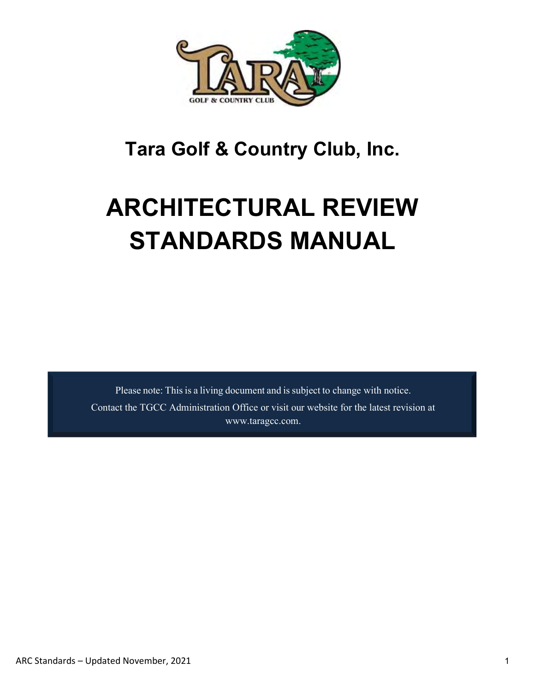

# **Tara Golf & Country Club, Inc.**

# **ARCHITECTURAL REVIEW STANDARDS MANUAL**

Please note: This is a living document and is subject to change with notice. Contact the TGCC Administration Office or visit our website for the latest revision at [www.taragcc.com.](http://www.taragcc.com/)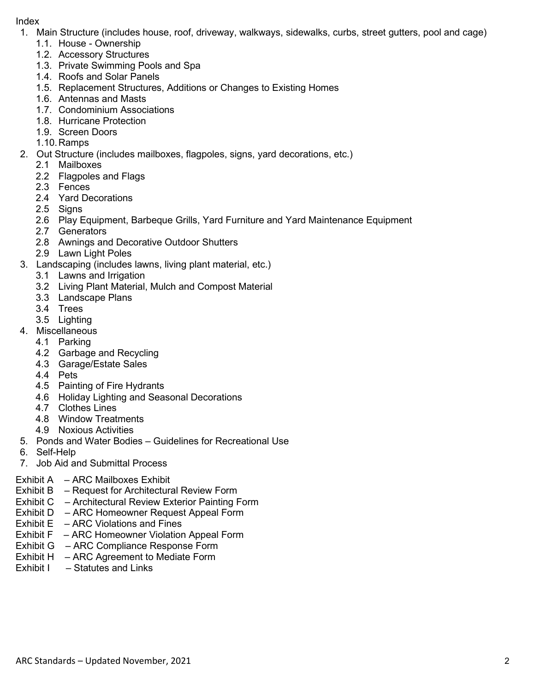#### Index

- 1. Main Structure (includes house, roof, driveway, walkways, sidewalks, curbs, street gutters, pool and cage)
	- 1.1. House Ownership
	- 1.2. Accessory Structures
	- 1.3. Private Swimming Pools and Spa
	- 1.4. Roofs and Solar Panels
	- 1.5. Replacement Structures, Additions or Changes to Existing Homes
	- 1.6. Antennas and Masts
	- 1.7. Condominium Associations
	- 1.8. Hurricane Protection
	- 1.9. Screen Doors
	- 1.10. Ramps
- 2. Out Structure (includes mailboxes, flagpoles, signs, yard decorations, etc.)
	- 2.1 Mailboxes
	- 2.2 Flagpoles and Flags
	- 2.3 Fences
	- 2.4 Yard Decorations
	- 2.5 Signs
	- 2.6 Play Equipment, Barbeque Grills, Yard Furniture and Yard Maintenance Equipment
	- 2.7 Generators
	- 2.8 Awnings and Decorative Outdoor Shutters
	- 2.9 Lawn Light Poles
- 3. Landscaping (includes lawns, living plant material, etc.)
	- 3.1 Lawns and Irrigation
	- 3.2 Living Plant Material, Mulch and Compost Material
	- 3.3 Landscape Plans
	- 3.4 Trees
	- 3.5 Lighting
- 4. Miscellaneous
	- 4.1 Parking
	- 4.2 Garbage and Recycling
	- 4.3 Garage/Estate Sales
	- 4.4 Pets
	- 4.5 Painting of Fire Hydrants
	- 4.6 Holiday Lighting and Seasonal Decorations
	- 4.7 Clothes Lines
	- 4.8 Window Treatments
	- 4.9 Noxious Activities
- 5. Ponds and Water Bodies Guidelines for Recreational Use
- 6. Self-Help
- 7. Job Aid and Submittal Process

#### Exhibit A – ARC Mailboxes Exhibit

- Exhibit B Request for Architectural Review Form
- Exhibit C Architectural Review Exterior Painting Form
- Exhibit D ARC Homeowner Request Appeal Form
- Exhibit  $E ABC$  Violations and Fines
- Exhibit F ARC Homeowner Violation Appeal Form
- Exhibit G ARC Compliance Response Form
- Exhibit H ARC Agreement to Mediate Form
- Exhibit I Statutes and Links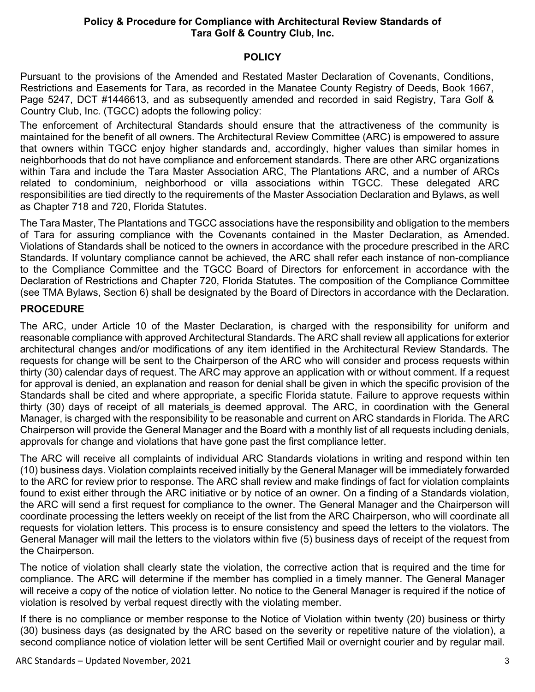## **Policy & Procedure for Compliance with Architectural Review Standards of Tara Golf & Country Club, Inc.**

#### **POLICY**

Pursuant to the provisions of the Amended and Restated Master Declaration of Covenants, Conditions, Restrictions and Easements for Tara, as recorded in the Manatee County Registry of Deeds, Book 1667, Page 5247, DCT #1446613, and as subsequently amended and recorded in said Registry, Tara Golf & Country Club, Inc. (TGCC) adopts the following policy:

The enforcement of Architectural Standards should ensure that the attractiveness of the community is maintained for the benefit of all owners. The Architectural Review Committee (ARC) is empowered to assure that owners within TGCC enjoy higher standards and, accordingly, higher values than similar homes in neighborhoods that do not have compliance and enforcement standards. There are other ARC organizations within Tara and include the [Tara Master Association ARC,](https://barney.senearthco.com/senearthcoDocs/5681/propertyInformation/public/Document3015615/TMA_ARC_Manual-_APPROVED_February_2020.pdf) The Plantations ARC, and a number of ARCs related to condominium, neighborhood or villa associations within TGCC. These delegated ARC responsibilities are tied directly to the requirements of the Master Association Declaration and Bylaws, as well as Chapter 718 and 720, Florida Statutes.

The Tara Master, The Plantations and TGCC associations have the responsibility and obligation to the members of Tara for assuring compliance with the Covenants contained in the Master Declaration, as Amended. Violations of Standards shall be noticed to the owners in accordance with the procedure prescribed in the ARC Standards. If voluntary compliance cannot be achieved, the ARC shall refer each instance of non-compliance to the Compliance Committee and the TGCC Board of Directors for enforcement in accordance with the Declaration of Restrictions and Chapter 720, Florida Statutes. The composition of the Compliance Committee (see TMA Bylaws, Section 6) shall be designated by the Board of Directors in accordance with the Declaration.

## **PROCEDURE**

The ARC, under Article 10 of the Master Declaration, is charged with the responsibility for uniform and reasonable compliance with approved Architectural Standards. The ARC shall review all applications for exterior architectural changes and/or modifications of any item identified in the Architectural Review Standards. The requests for change will be sent to the Chairperson of the ARC who will consider and process requests within thirty (30) calendar days of request. The ARC may approve an application with or without comment. If a request for approval is denied, an explanation and reason for denial shall be given in which the specific provision of the Standards shall be cited and where appropriate, a specific Florida statute. Failure to approve requests within thirty (30) days of receipt of all materials is deemed approval. The ARC, in coordination with the General Manager, is charged with the responsibility to be reasonable and current on ARC standards in Florida. The ARC Chairperson will provide the General Manager and the Board with a monthly list of all requests including denials, approvals for change and violations that have gone past the first compliance letter.

The ARC will receive all complaints of individual ARC Standards violations in writing and respond within ten (10) business days. Violation complaints received initially by the General Manager will be immediately forwarded to the ARC for review prior to response. The ARC shall review and make findings of fact for violation complaints found to exist either through the ARC initiative or by notice of an owner. On a finding of a Standards violation, the ARC will send a first request for compliance to the owner. The General Manager and the Chairperson will coordinate processing the letters weekly on receipt of the list from the ARC Chairperson, who will coordinate all requests for violation letters. This process is to ensure consistency and speed the letters to the violators. The General Manager will mail the letters to the violators within five (5) business days of receipt of the request from the Chairperson.

The notice of violation shall clearly state the violation, the corrective action that is required and the time for compliance. The ARC will determine if the member has complied in a timely manner. The General Manager will receive a copy of the notice of violation letter. No notice to the General Manager is required if the notice of violation is resolved by verbal request directly with the violating member.

If there is no compliance or member response to the Notice of Violation within twenty (20) business or thirty (30) business days (as designated by the ARC based on the severity or repetitive nature of the violation), a second compliance notice of violation letter will be sent Certified Mail or overnight courier and by regular mail.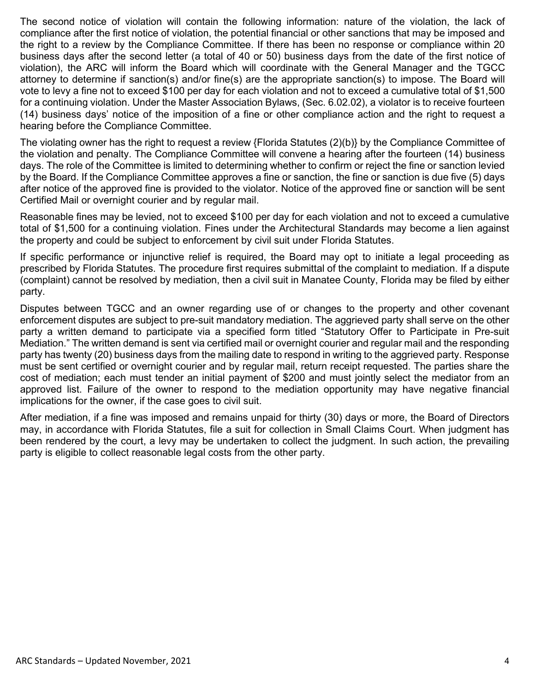The second notice of violation will contain the following information: nature of the violation, the lack of compliance after the first notice of violation, the potential financial or other sanctions that may be imposed and the right to a review by the Compliance Committee. If there has been no response or compliance within 20 business days after the second letter (a total of 40 or 50) business days from the date of the first notice of violation), the ARC will inform the Board which will coordinate with the General Manager and the TGCC attorney to determine if sanction(s) and/or fine(s) are the appropriate sanction(s) to impose. The Board will vote to levy a fine not to exceed \$100 per day for each violation and not to exceed a cumulative total of \$1,500 for a continuing violation. Under the Master Association Bylaws, (Sec. 6.02.02), a violator is to receive fourteen (14) business days' notice of the imposition of a fine or other compliance action and the right to request a hearing before the Compliance Committee.

The violating owner has the right to request a review [{Florida Statutes](http://www.leg.state.fl.us/statutes/index.cfm?App_mode=Display_Statute&URL=0700-0799/0720/0720.html) (2)(b)} by the Compliance Committee of the violation and penalty. The Compliance Committee will convene a hearing after the fourteen (14) business days. The role of the Committee is limited to determining whether to confirm or reject the fine or sanction levied by the Board. If the Compliance Committee approves a fine or sanction, the fine or sanction is due five (5) days after notice of the approved fine is provided to the violator. Notice of the approved fine or sanction will be sent Certified Mail or overnight courier and by regular mail.

Reasonable fines may be levied, not to exceed \$100 per day for each violation and not to exceed a cumulative total of \$1,500 for a continuing violation. Fines under the Architectural Standards may become a lien against the property and could be subject to enforcement by civil suit under Florida Statutes.

If specific performance or injunctive relief is required, the Board may opt to initiate a legal proceeding as prescribed by Florida Statutes. The procedure first requires submittal of the complaint to mediation. If a dispute (complaint) cannot be resolved by mediation, then a civil suit in Manatee County, Florida may be filed by either party.

Disputes between TGCC and an owner regarding use of or changes to the property and other covenant enforcement disputes are subject to pre-suit mandatory mediation. The aggrieved party shall serve on the other party a written demand to participate via a specified form titled "Statutory Offer to Participate in Pre-suit Mediation." The written demand is sent via certified mail or overnight courier and regular mail and the responding party has twenty (20) business days from the mailing date to respond in writing to the aggrieved party. Response must be sent certified or overnight courier and by regular mail, return receipt requested. The parties share the cost of mediation; each must tender an initial payment of \$200 and must jointly select the mediator from an approved list. Failure of the owner to respond to the mediation opportunity may have negative financial implications for the owner, if the case goes to civil suit.

After mediation, if a fine was imposed and remains unpaid for thirty (30) days or more, the Board of Directors may, in accordance with Florida Statutes, file a suit for collection in Small Claims Court. When judgment has been rendered by the court, a levy may be undertaken to collect the judgment. In such action, the prevailing party is eligible to collect reasonable legal costs from the other party.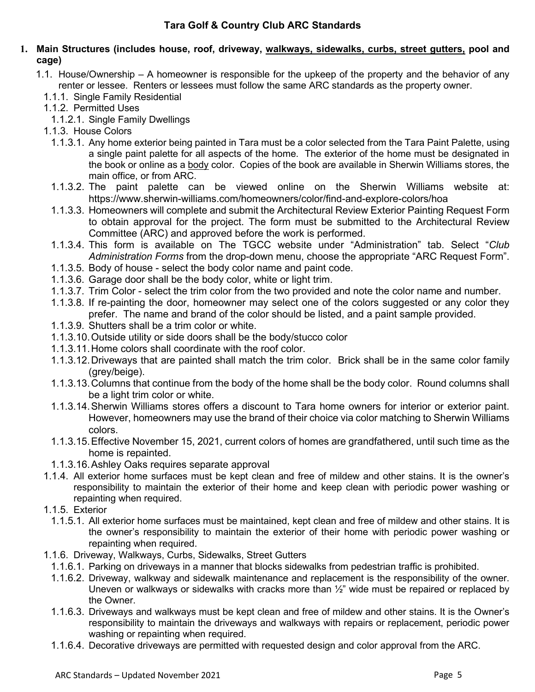### **1. Main Structures (includes house, roof, driveway, walkways, sidewalks, curbs, street gutters, pool and cage)**

- 1.1. House/Ownership A homeowner is responsible for the upkeep of the property and the behavior of any renter or lessee. Renters or lessees must follow the same ARC standards as the property owner.
	- 1.1.1. Single Family Residential
	- 1.1.2. Permitted Uses
		- 1.1.2.1. Single Family Dwellings
	- 1.1.3. House Colors
		- 1.1.3.1. Any home exterior being painted in Tara must be a color selected from the Tara Paint Palette, using a single paint palette for all aspects of the home. The exterior of the home must be designated in the book or online as a body color. Copies of the book are available in Sherwin Williams stores, the main office, or from ARC.
		- 1.1.3.2. The paint palette can be viewed online on the Sherwin Williams website at: <https://www.sherwin-williams.com/homeowners/color/find-and-explore-colors/hoa>
		- 1.1.3.3. Homeowners will complete and submit the Architectural Review Exterior Painting Request Form to obtain approval for the project. The form must be submitted to the Architectural Review Committee (ARC) and approved before the work is performed.
		- 1.1.3.4. This form is available on The TGCC website under "Administration" tab. Select "*Club Administration Forms* from the drop-down menu, choose the appropriate "ARC Request Form".
		- 1.1.3.5. Body of house select the body color name and paint code.
		- 1.1.3.6. Garage door shall be the body color, white or light trim.
		- 1.1.3.7. Trim Color select the trim color from the two provided and note the color name and number.
		- 1.1.3.8. If re-painting the door, homeowner may select one of the colors suggested or any color they prefer. The name and brand of the color should be listed, and a paint sample provided.
		- 1.1.3.9. Shutters shall be a trim color or white.
		- 1.1.3.10.Outside utility or side doors shall be the body/stucco color
		- 1.1.3.11.Home colors shall coordinate with the roof color.
		- 1.1.3.12.Driveways that are painted shall match the trim color. Brick shall be in the same color family (grey/beige).
		- 1.1.3.13.Columns that continue from the body of the home shall be the body color. Round columns shall be a light trim color or white.
		- 1.1.3.14.Sherwin Williams stores offers a discount to Tara home owners for interior or exterior paint. However, homeowners may use the brand of their choice via color matching to Sherwin Williams colors.
		- 1.1.3.15.Effective November 15, 2021, current colors of homes are grandfathered, until such time as the home is repainted.
		- 1.1.3.16.Ashley Oaks requires separate approval
	- 1.1.4. All exterior home surfaces must be kept clean and free of mildew and other stains. It is the owner's responsibility to maintain the exterior of their home and keep clean with periodic power washing or repainting when required.
	- 1.1.5. Exterior
		- 1.1.5.1. All exterior home surfaces must be maintained, kept clean and free of mildew and other stains. It is the owner's responsibility to maintain the exterior of their home with periodic power washing or repainting when required.
	- 1.1.6. Driveway, Walkways, Curbs, Sidewalks, Street Gutters
	- 1.1.6.1. Parking on driveways in a manner that blocks sidewalks from pedestrian traffic is prohibited.
	- 1.1.6.2. Driveway, walkway and sidewalk maintenance and replacement is the responsibility of the owner. Uneven or walkways or sidewalks with cracks more than  $\frac{1}{2}$ " wide must be repaired or replaced by the Owner.
	- 1.1.6.3. Driveways and walkways must be kept clean and free of mildew and other stains. It is the Owner's responsibility to maintain the driveways and walkways with repairs or replacement, periodic power washing or repainting when required.
	- 1.1.6.4. Decorative driveways are permitted with requested design and color approval from the ARC.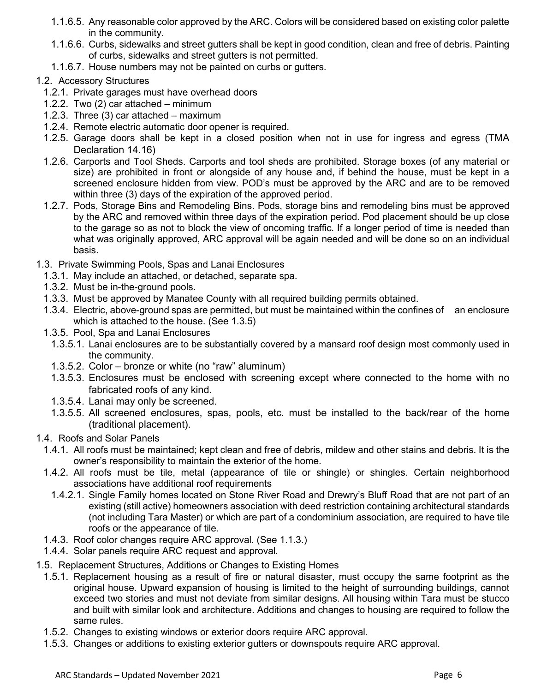- 1.1.6.5. Any reasonable color approved by the ARC. Colors will be considered based on existing color palette in the community.
- 1.1.6.6. Curbs, sidewalks and street gutters shall be kept in good condition, clean and free of debris. Painting of curbs, sidewalks and street gutters is not permitted.
- 1.1.6.7. House numbers may not be painted on curbs or gutters.
- 1.2. Accessory Structures
	- 1.2.1. Private garages must have overhead doors
	- 1.2.2. Two (2) car attached minimum
	- 1.2.3. Three (3) car attached maximum
	- 1.2.4. Remote electric automatic door opener is required.
	- 1.2.5. Garage doors shall be kept in a closed position when not in use for ingress and egress [\(TMA](https://barney.senearthco.com/senearthcoDocs/5681/governingDocuments/ho/Document1655665/TMA_Restated_Declaration_2603_2844.pdf)  [Declaration 14.16\)](https://barney.senearthco.com/senearthcoDocs/5681/governingDocuments/ho/Document1655665/TMA_Restated_Declaration_2603_2844.pdf)
	- 1.2.6. Carports and Tool Sheds. Carports and tool sheds are prohibited. Storage boxes (of any material or size) are prohibited in front or alongside of any house and, if behind the house, must be kept in a screened enclosure hidden from view. POD's must be approved by the ARC and are to be removed within three (3) days of the expiration of the approved period.
	- 1.2.7. Pods, Storage Bins and Remodeling Bins. Pods, storage bins and remodeling bins must be approved by the ARC and removed within three days of the expiration period. Pod placement should be up close to the garage so as not to block the view of oncoming traffic. If a longer period of time is needed than what was originally approved, ARC approval will be again needed and will be done so on an individual basis.
- 1.3. Private Swimming Pools, Spas and Lanai Enclosures
	- 1.3.1. May include an attached, or detached, separate spa.
	- 1.3.2. Must be in-the-ground pools.
	- 1.3.3. Must be approved by Manatee County with all required building permits obtained.
	- 1.3.4. Electric, above-ground spas are permitted, but must be maintained within the confines of an enclosure which is attached to the house. (See 1.3.5)
	- 1.3.5. Pool, Spa and Lanai Enclosures
		- 1.3.5.1. Lanai enclosures are to be substantially covered by a mansard roof design most commonly used in the community.
		- 1.3.5.2. Color bronze or white (no "raw" aluminum)
		- 1.3.5.3. Enclosures must be enclosed with screening except where connected to the home with no fabricated roofs of any kind.
		- 1.3.5.4. Lanai may only be screened.
		- 1.3.5.5. All screened enclosures, spas, pools, etc. must be installed to the back/rear of the home (traditional placement).
- 1.4. Roofs and Solar Panels
	- 1.4.1. All roofs must be maintained; kept clean and free of debris, mildew and other stains and debris. It is the owner's responsibility to maintain the exterior of the home.
	- 1.4.2. All roofs must be tile, metal (appearance of tile or shingle) or shingles. Certain neighborhood associations have additional roof requirements
		- 1.4.2.1. Single Family homes located on Stone River Road and Drewry's Bluff Road that are not part of an existing (still active) homeowners association with deed restriction containing architectural standards (not including Tara Master) or which are part of a condominium association, are required to have tile roofs or the appearance of tile.
	- 1.4.3. Roof color changes require ARC approval. (See 1.1.3.)
	- 1.4.4. Solar panels require ARC request and approval.
- 1.5. Replacement Structures, Additions or Changes to Existing Homes
	- 1.5.1. Replacement housing as a result of fire or natural disaster, must occupy the same footprint as the original house. Upward expansion of housing is limited to the height of surrounding buildings, cannot exceed two stories and must not deviate from similar designs. All housing within Tara must be stucco and built with similar look and architecture. Additions and changes to housing are required to follow the same rules.
	- 1.5.2. Changes to existing windows or exterior doors require ARC approval.
	- 1.5.3. Changes or additions to existing exterior gutters or downspouts require ARC approval.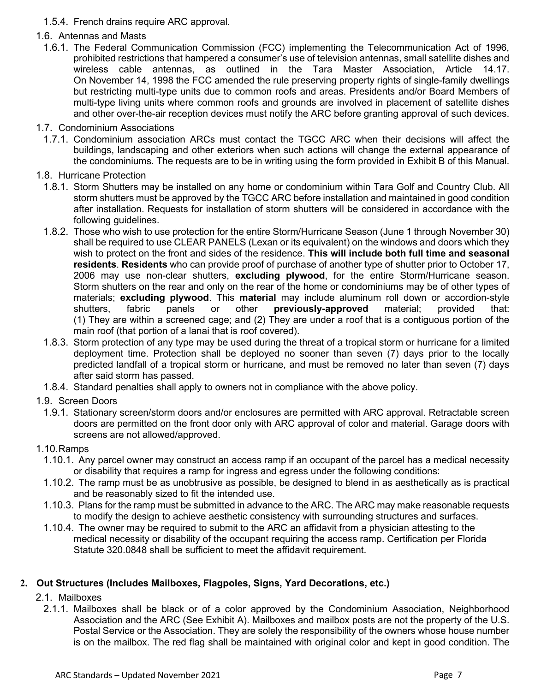- 1.5.4. French drains require ARC approval.
- 1.6. Antennas and Masts
	- 1.6.1. The Federal Communication Commission (FCC) implementing the Telecommunication Act of 1996, prohibited restrictions that hampered a consumer's use of television antennas, small satellite dishes and wireless cable antennas, as outlined in the Tara Master Association, Article 14.17. On November 14, 1998 the FCC amended the rule preserving property rights of single-family dwellings but restricting multi-type units due to common roofs and areas. Presidents and/or Board Members of multi-type living units where common roofs and grounds are involved in placement of satellite dishes and other over-the-air reception devices must notify the ARC before granting approval of such devices.
- 1.7. Condominium Associations
	- 1.7.1. Condominium association ARCs must contact the TGCC ARC when their decisions will affect the buildings, landscaping and other exteriors when such actions will change the external appearance of the condominiums. The requests are to be in writing using the form provided in Exhibit B of this Manual.
- 1.8. Hurricane Protection
	- 1.8.1. Storm Shutters may be installed on any home or condominium within Tara Golf and Country Club. All storm shutters must be approved by the TGCC ARC before installation and maintained in good condition after installation. Requests for installation of storm shutters will be considered in accordance with the following guidelines.
	- 1.8.2. Those who wish to use protection for the entire Storm/Hurricane Season (June 1 through November 30) shall be required to use CLEAR PANELS (Lexan or its equivalent) on the windows and doors which they wish to protect on the front and sides of the residence. **This will include both full time and seasonal residents**. **Residents** who can provide proof of purchase of another type of shutter prior to October 17, 2006 may use non-clear shutters, **excluding plywood**, for the entire Storm/Hurricane season. Storm shutters on the rear and only on the rear of the home or condominiums may be of other types of materials; **excluding plywood**. This **material** may include aluminum roll down or accordion-style shutters, fabric panels or other **previously-approved** material; provided that: (1) They are within a screened cage; and (2) They are under a roof that is a contiguous portion of the main roof (that portion of a lanai that is roof covered).
	- 1.8.3. Storm protection of any type may be used during the threat of a tropical storm or hurricane for a limited deployment time. Protection shall be deployed no sooner than seven (7) days prior to the locally predicted landfall of a tropical storm or hurricane, and must be removed no later than seven (7) days after said storm has passed.
	- 1.8.4. Standard penalties shall apply to owners not in compliance with the above policy.
- 1.9. Screen Doors
	- 1.9.1. Stationary screen/storm doors and/or enclosures are permitted with ARC approval. Retractable screen doors are permitted on the front door only with ARC approval of color and material. Garage doors with screens are not allowed/approved.
- 1.10.Ramps
	- 1.10.1. Any parcel owner may construct an access ramp if an occupant of the parcel has a medical necessity or disability that requires a ramp for ingress and egress under the following conditions:
	- 1.10.2. The ramp must be as unobtrusive as possible, be designed to blend in as aesthetically as is practical and be reasonably sized to fit the intended use.
	- 1.10.3. Plans for the ramp must be submitted in advance to the ARC. The ARC may make reasonable requests to modify the design to achieve aesthetic consistency with surrounding structures and surfaces.
	- 1.10.4. The owner may be required to submit to the ARC an affidavit from a physician attesting to the medical necessity or disability of the occupant requiring the access ramp. Certification per Florida Statute 320.0848 shall be sufficient to meet the affidavit requirement.

## **2. Out Structures (Includes Mailboxes, Flagpoles, Signs, Yard Decorations, etc.)**

- 2.1. Mailboxes
	- 2.1.1. Mailboxes shall be black or of a color approved by the Condominium Association, Neighborhood Association and the ARC (See Exhibit A). Mailboxes and mailbox posts are not the property of the U.S. Postal Service or the Association. They are solely the responsibility of the owners whose house number is on the mailbox. The red flag shall be maintained with original color and kept in good condition. The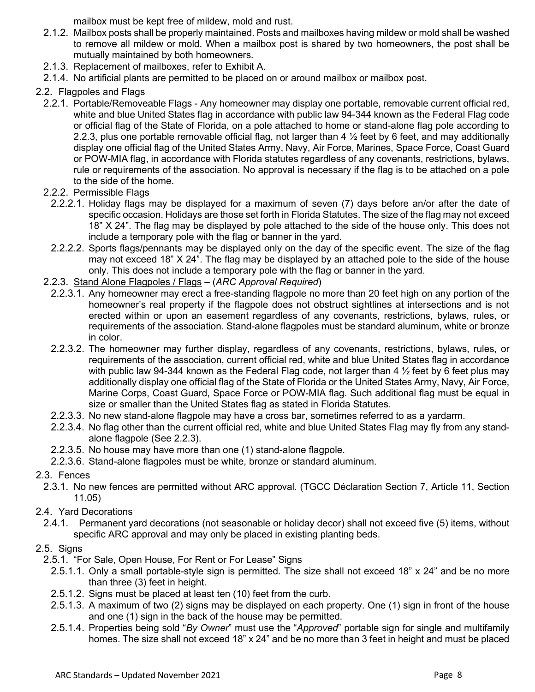mailbox must be kept free of mildew, mold and rust.

- 2.1.2. Mailbox posts shall be properly maintained. Posts and mailboxes having mildew or mold shall be washed to remove all mildew or mold. When a mailbox post is shared by two homeowners, the post shall be mutually maintained by both homeowners.
- 2.1.3. Replacement of mailboxes, refer to Exhibit A.
- 2.1.4. No artificial plants are permitted to be placed on or around mailbox or mailbox post.
- 2.2. Flagpoles and Flags
	- 2.2.1. Portable/Removeable Flags Any homeowner may display one portable, removable current official red, white and blue United States flag in accordance with public law 94-344 known as the Federal Flag code or official flag of the State of Florida, on a pole attached to home or stand-alone flag pole according to 2.2.3, plus one portable removable official flag, not larger than 4 ½ feet by 6 feet, and may additionally display one official flag of the United States Army, Navy, Air Force, Marines, Space Force, Coast Guard or POW-MIA flag, in accordance with Florida statutes regardless of any covenants, restrictions, bylaws, rule or requirements of the association. No approval is necessary if the flag is to be attached on a pole to the side of the home.
	- 2.2.2. Permissible Flags
		- 2.2.2.1. Holiday flags may be displayed for a maximum of seven (7) days before an/or after the date of specific occasion. Holidays are those set forth in Florida Statutes. The size of the flag may not exceed 18" X 24". The flag may be displayed by pole attached to the side of the house only. This does not include a temporary pole with the flag or banner in the yard.
		- 2.2.2.2. Sports flags/pennants may be displayed only on the day of the specific event. The size of the flag may not exceed 18" X 24". The flag may be displayed by an attached pole to the side of the house only. This does not include a temporary pole with the flag or banner in the yard.
	- 2.2.3. Stand Alone Flagpoles / Flags (*ARC Approval Required*)
		- 2.2.3.1. Any homeowner may erect a free-standing flagpole no more than 20 feet high on any portion of the homeowner's real property if the flagpole does not obstruct sightlines at intersections and is not erected within or upon an easement regardless of any covenants, restrictions, bylaws, rules, or requirements of the association. Stand-alone flagpoles must be standard aluminum, white or bronze in color.
		- 2.2.3.2. The homeowner may further display, regardless of any covenants, restrictions, bylaws, rules, or requirements of the association, current official red, white and blue United States flag in accordance with public law 94-344 known as the Federal Flag code, not larger than 4  $\frac{1}{2}$  feet by 6 feet plus may additionally display one official flag of the State of Florida or the United States Army, Navy, Air Force, Marine Corps, Coast Guard, Space Force or POW-MIA flag. Such additional flag must be equal in size or smaller than the United States flag as stated in Florida Statutes.
		- 2.2.3.3. No new stand-alone flagpole may have a cross bar, sometimes referred to as a yardarm.
		- 2.2.3.4. No flag other than the current official red, white and blue United States Flag may fly from any standalone flagpole (See 2.2.3).
		- 2.2.3.5. No house may have more than one (1) stand-alone flagpole.
		- 2.2.3.6. Stand-alone flagpoles must be white, bronze or standard aluminum.
- 2.3. Fences
	- 2.3.1. No new fences are permitted without ARC approval. (TGCC Déclaration Section 7, Article 11, Section 11.05)
- 2.4. Yard Decorations
	- 2.4.1. Permanent yard decorations (not seasonable or holiday decor) shall not exceed five (5) items, without specific ARC approval and may only be placed in existing planting beds.

## 2.5. Signs

- 2.5.1. "For Sale, Open House, For Rent or For Lease" Signs
	- 2.5.1.1. Only a small portable-style sign is permitted. The size shall not exceed 18" x 24" and be no more than three (3) feet in height.
	- 2.5.1.2. Signs must be placed at least ten (10) feet from the curb.
	- 2.5.1.3. A maximum of two (2) signs may be displayed on each property. One (1) sign in front of the house and one (1) sign in the back of the house may be permitted.
	- 2.5.1.4. Properties being sold "*By Owner*" must use the "*Approved*" portable sign for single and multifamily homes. The size shall not exceed 18" x 24" and be no more than 3 feet in height and must be placed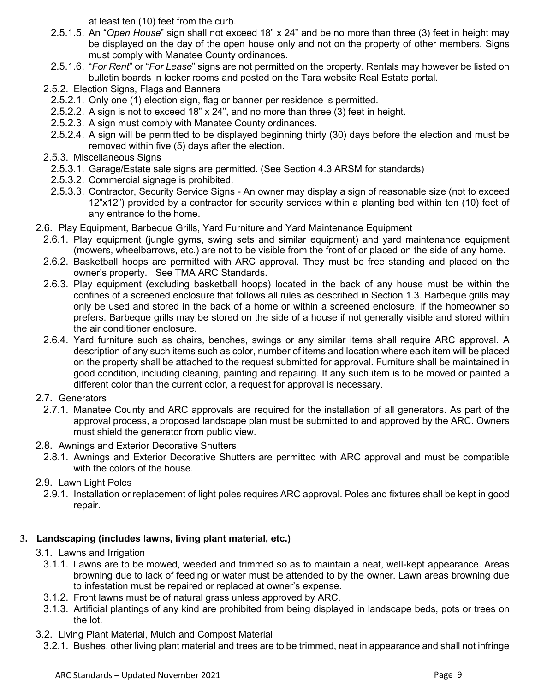at least ten (10) feet from the curb.

- 2.5.1.5. An "*Open House*" sign shall not exceed 18" x 24" and be no more than three (3) feet in height may be displayed on the day of the open house only and not on the property of other members. Signs must comply with Manatee County ordinances.
- 2.5.1.6. "*For Rent*" or "*For Lease*" signs are not permitted on the property. Rentals may however be listed on bulletin boards in locker rooms and posted on the Tara website Real Estate portal.
- 2.5.2. Election Signs, Flags and Banners
	- 2.5.2.1. Only one (1) election sign, flag or banner per residence is permitted.
	- 2.5.2.2. A sign is not to exceed 18" x 24", and no more than three (3) feet in height.
	- 2.5.2.3. A sign must comply with Manatee County ordinances.
	- 2.5.2.4. A sign will be permitted to be displayed beginning thirty (30) days before the election and must be removed within five (5) days after the election.
- 2.5.3. Miscellaneous Signs
	- 2.5.3.1. Garage/Estate sale signs are permitted. (See Section 4.3 ARSM for standards)
	- 2.5.3.2. Commercial signage is prohibited.
	- 2.5.3.3. Contractor, Security Service Signs An owner may display a sign of reasonable size (not to exceed 12"x12") provided by a contractor for security services within a planting bed within ten (10) feet of any entrance to the home.
- 2.6. Play Equipment, Barbeque Grills, Yard Furniture and Yard Maintenance Equipment
	- 2.6.1. Play equipment (jungle gyms, swing sets and similar equipment) and yard maintenance equipment (mowers, wheelbarrows, etc.) are not to be visible from the front of or placed on the side of any home.
	- 2.6.2. Basketball hoops are permitted with ARC approval. They must be free standing and placed on the owner's property. See TMA ARC Standards.
	- 2.6.3. Play equipment (excluding basketball hoops) located in the back of any house must be within the confines of a screened enclosure that follows all rules as described in Section 1.3. Barbeque grills may only be used and stored in the back of a home or within a screened enclosure, if the homeowner so prefers. Barbeque grills may be stored on the side of a house if not generally visible and stored within the air conditioner enclosure.
	- 2.6.4. Yard furniture such as chairs, benches, swings or any similar items shall require ARC approval. A description of any such items such as color, number of items and location where each item will be placed on the property shall be attached to the request submitted for approval. Furniture shall be maintained in good condition, including cleaning, painting and repairing. If any such item is to be moved or painted a different color than the current color, a request for approval is necessary.

## 2.7. Generators

- 2.7.1. Manatee County and ARC approvals are required for the installation of all generators. As part of the approval process, a proposed landscape plan must be submitted to and approved by the ARC. Owners must shield the generator from public view.
- 2.8. Awnings and Exterior Decorative Shutters
	- 2.8.1. Awnings and Exterior Decorative Shutters are permitted with ARC approval and must be compatible with the colors of the house.
- 2.9. Lawn Light Poles
	- 2.9.1. Installation or replacement of light poles requires ARC approval. Poles and fixtures shall be kept in good repair.

## **3. Landscaping (includes lawns, living plant material, etc.)**

## 3.1. Lawns and Irrigation

- 3.1.1. Lawns are to be mowed, weeded and trimmed so as to maintain a neat, well-kept appearance. Areas browning due to lack of feeding or water must be attended to by the owner. Lawn areas browning due to infestation must be repaired or replaced at owner's expense.
- 3.1.2. Front lawns must be of natural grass unless approved by ARC.
- 3.1.3. Artificial plantings of any kind are prohibited from being displayed in landscape beds, pots or trees on the lot.
- 3.2. Living Plant Material, Mulch and Compost Material
	- 3.2.1. Bushes, other living plant material and trees are to be trimmed, neat in appearance and shall not infringe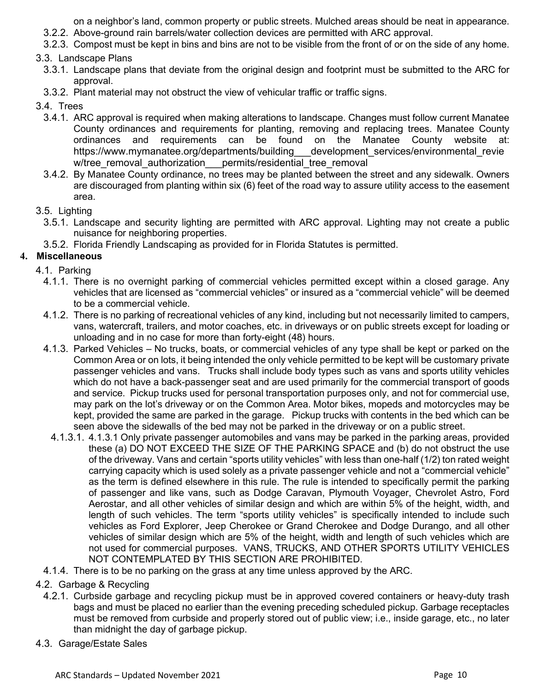on a neighbor's land, common property or public streets. Mulched areas should be neat in appearance.

- 3.2.2. Above-ground rain barrels/water collection devices are permitted with ARC approval.
- 3.2.3. Compost must be kept in bins and bins are not to be visible from the front of or on the side of any home.

### 3.3. Landscape Plans

- 3.3.1. Landscape plans that deviate from the original design and footprint must be submitted to the ARC for approval.
- 3.3.2. Plant material may not obstruct the view of vehicular traffic or traffic signs.
- 3.4. Trees
	- 3.4.1. ARC approval is required when making alterations to landscape. Changes must follow current Manatee County ordinances and requirements for planting, removing and replacing trees. Manatee County ordinances and requirements can be found on the Manatee County website at: https://www.mymanatee.org/departments/building development services/environmental revie w/tree\_removal\_authorization \_\_\_permits/residential\_tree\_removal
	- 3.4.2. By Manatee County ordinance, no trees may be planted between the street and any sidewalk. Owners are discouraged from planting within six (6) feet of the road way to assure utility access to the easement area.

#### 3.5. Lighting

- 3.5.1. Landscape and security lighting are permitted with ARC approval. Lighting may not create a public nuisance for neighboring properties.
- 3.5.2. Florida Friendly Landscaping as provided for in Florida Statutes is permitted.

## **4. Miscellaneous**

### 4.1. Parking

- 4.1.1. There is no overnight parking of commercial vehicles permitted except within a closed garage. Any vehicles that are licensed as "commercial vehicles" or insured as a "commercial vehicle" will be deemed to be a commercial vehicle.
- 4.1.2. There is no parking of recreational vehicles of any kind, including but not necessarily limited to campers, vans, watercraft, trailers, and motor coaches, etc. in driveways or on public streets except for loading or unloading and in no case for more than forty-eight (48) hours.
- 4.1.3. Parked Vehicles No trucks, boats, or commercial vehicles of any type shall be kept or parked on the Common Area or on lots, it being intended the only vehicle permitted to be kept will be customary private passenger vehicles and vans. Trucks shall include body types such as vans and sports utility vehicles which do not have a back-passenger seat and are used primarily for the commercial transport of goods and service. Pickup trucks used for personal transportation purposes only, and not for commercial use, may park on the lot's driveway or on the Common Area. Motor bikes, mopeds and motorcycles may be kept, provided the same are parked in the garage. Pickup trucks with contents in the bed which can be seen above the sidewalls of the bed may not be parked in the driveway or on a public street.
- 4.1.3.1. 4.1.3.1 Only private passenger automobiles and vans may be parked in the parking areas, provided these (a) DO NOT EXCEED THE SIZE OF THE PARKING SPACE and (b) do not obstruct the use of the driveway. Vans and certain "sports utility vehicles" with less than one-half (1/2) ton rated weight carrying capacity which is used solely as a private passenger vehicle and not a "commercial vehicle" as the term is defined elsewhere in this rule. The rule is intended to specifically permit the parking of passenger and like vans, such as Dodge Caravan, Plymouth Voyager, Chevrolet Astro, Ford Aerostar, and all other vehicles of similar design and which are within 5% of the height, width, and length of such vehicles. The term "sports utility vehicles" is specifically intended to include such vehicles as Ford Explorer, Jeep Cherokee or Grand Cherokee and Dodge Durango, and all other vehicles of similar design which are 5% of the height, width and length of such vehicles which are not used for commercial purposes. VANS, TRUCKS, AND OTHER SPORTS UTILITY VEHICLES NOT CONTEMPLATED BY THIS SECTION ARE PROHIBITED.
- 4.1.4. There is to be no parking on the grass at any time unless approved by the ARC.
- 4.2. Garbage & Recycling
	- 4.2.1. Curbside garbage and recycling pickup must be in approved covered containers or heavy-duty trash bags and must be placed no earlier than the evening preceding scheduled pickup. Garbage receptacles must be removed from curbside and properly stored out of public view; i.e., inside garage, etc., no later than midnight the day of garbage pickup.
- 4.3. Garage/Estate Sales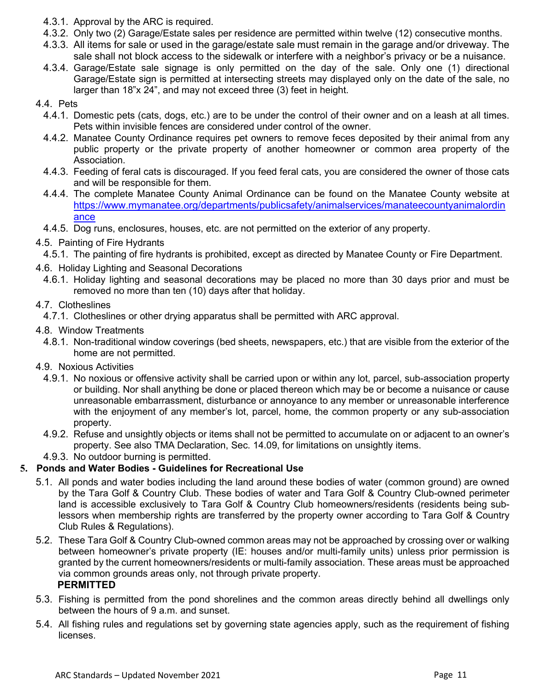- 4.3.1. Approval by the ARC is required.
- 4.3.2. Only two (2) Garage/Estate sales per residence are permitted within twelve (12) consecutive months.
- 4.3.3. All items for sale or used in the garage/estate sale must remain in the garage and/or driveway. The sale shall not block access to the sidewalk or interfere with a neighbor's privacy or be a nuisance.
- 4.3.4. Garage/Estate sale signage is only permitted on the day of the sale. Only one (1) directional Garage/Estate sign is permitted at intersecting streets may displayed only on the date of the sale, no larger than 18"x 24", and may not exceed three (3) feet in height.

#### 4.4. Pets

- 4.4.1. Domestic pets (cats, dogs, etc.) are to be under the control of their owner and on a leash at all times. Pets within invisible fences are considered under control of the owner.
- 4.4.2. Manatee County Ordinance requires pet owners to remove feces deposited by their animal from any public property or the private property of another homeowner or common area property of the Association.
- 4.4.3. Feeding of feral cats is discouraged. If you feed feral cats, you are considered the owner of those cats and will be responsible for them.
- 4.4.4. The complete Manatee County Animal Ordinance can be found on the Manatee County website at [https://www.mymanatee.org/departments/publicsafety/animalservices/manateecountyanimalordin](https://www.mymanatee.org/departments/publicsafety/animalservices/manateecountyanimalordinance) [ance](https://www.mymanatee.org/departments/publicsafety/animalservices/manateecountyanimalordinance)
- 4.4.5. Dog runs, enclosures, houses, etc. are not permitted on the exterior of any property.

## 4.5. Painting of Fire Hydrants

- 4.5.1. The painting of fire hydrants is prohibited, except as directed by Manatee County or Fire Department.
- 4.6. Holiday Lighting and Seasonal Decorations
	- 4.6.1. Holiday lighting and seasonal decorations may be placed no more than 30 days prior and must be removed no more than ten (10) days after that holiday.

### 4.7. Clotheslines

- 4.7.1. Clotheslines or other drying apparatus shall be permitted with ARC approval.
- 4.8. Window Treatments
	- 4.8.1. Non-traditional window coverings (bed sheets, newspapers, etc.) that are visible from the exterior of the home are not permitted.
- 4.9. Noxious Activities
	- 4.9.1. No noxious or offensive activity shall be carried upon or within any lot, parcel, sub-association property or building. Nor shall anything be done or placed thereon which may be or become a nuisance or cause unreasonable embarrassment, disturbance or annoyance to any member or unreasonable interference with the enjoyment of any member's lot, parcel, home, the common property or any sub-association property.
	- 4.9.2. Refuse and unsightly objects or items shall not be permitted to accumulate on or adjacent to an owner's property. See also TMA Declaration, Sec. 14.09, for limitations on unsightly items.
	- 4.9.3. No outdoor burning is permitted.

## **5. Ponds and Water Bodies - Guidelines for Recreational Use**

- 5.1. All ponds and water bodies including the land around these bodies of water (common ground) are owned by the Tara Golf & Country Club. These bodies of water and Tara Golf & Country Club-owned perimeter land is accessible exclusively to Tara Golf & Country Club homeowners/residents (residents being sublessors when membership rights are transferred by the property owner according to Tara Golf & Country Club Rules & Regulations).
- 5.2. These Tara Golf & Country Club-owned common areas may not be approached by crossing over or walking between homeowner's private property (IE: houses and/or multi-family units) unless prior permission is granted by the current homeowners/residents or multi-family association. These areas must be approached via common grounds areas only, not through private property. **PERMITTED**
- 5.3. Fishing is permitted from the pond shorelines and the common areas directly behind all dwellings only between the hours of 9 a.m. and sunset.
- 5.4. All fishing rules and regulations set by governing state agencies apply, such as the requirement of fishing licenses.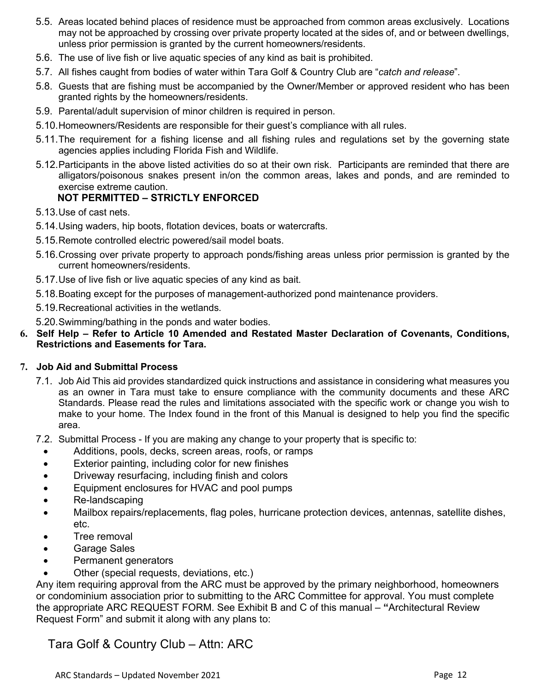- 5.5. Areas located behind places of residence must be approached from common areas exclusively. Locations may not be approached by crossing over private property located at the sides of, and or between dwellings, unless prior permission is granted by the current homeowners/residents.
- 5.6. The use of live fish or live aquatic species of any kind as bait is prohibited.
- 5.7. All fishes caught from bodies of water within Tara Golf & Country Club are "*catch and release*".
- 5.8. Guests that are fishing must be accompanied by the Owner/Member or approved resident who has been granted rights by the homeowners/residents.
- 5.9. Parental/adult supervision of minor children is required in person.
- 5.10.Homeowners/Residents are responsible for their guest's compliance with all rules.
- 5.11.The requirement for a fishing license and all fishing rules and regulations set by the governing state agencies applies including Florida Fish and Wildlife.
- 5.12.Participants in the above listed activities do so at their own risk. Participants are reminded that there are alligators/poisonous snakes present in/on the common areas, lakes and ponds, and are reminded to exercise extreme caution.

## **NOT PERMITTED – STRICTLY ENFORCED**

- 5.13.Use of cast nets.
- 5.14.Using waders, hip boots, flotation devices, boats or watercrafts.
- 5.15.Remote controlled electric powered/sail model boats.
- 5.16.Crossing over private property to approach ponds/fishing areas unless prior permission is granted by the current homeowners/residents.
- 5.17.Use of live fish or live aquatic species of any kind as bait.
- 5.18.Boating except for the purposes of management-authorized pond maintenance providers.
- 5.19.Recreational activities in the wetlands.
- 5.20.Swimming/bathing in the ponds and water bodies.
- **6. Self Help Refer to Article 10 Amended and Restated Master Declaration of Covenants, Conditions, Restrictions and Easements for Tara.**

#### **7. Job Aid and Submittal Process**

- 7.1. Job Aid This aid provides standardized quick instructions and assistance in considering what measures you as an owner in Tara must take to ensure compliance with the community documents and these ARC Standards. Please read the rules and limitations associated with the specific work or change you wish to make to your home. The Index found in the front of this Manual is designed to help you find the specific area.
- 7.2. Submittal Process If you are making any change to your property that is specific to:
	- Additions, pools, decks, screen areas, roofs, or ramps
	- Exterior painting, including color for new finishes
	- Driveway resurfacing, including finish and colors
	- Equipment enclosures for HVAC and pool pumps
	- Re-landscaping
	- Mailbox repairs/replacements, flag poles, hurricane protection devices, antennas, satellite dishes, etc.
	- Tree removal
	- Garage Sales
	- Permanent generators
	- Other (special requests, deviations, etc.)

Any item requiring approval from the ARC must be approved by the primary neighborhood, homeowners or condominium association prior to submitting to the ARC Committee for approval. You must complete the appropriate ARC REQUEST FORM. See Exhibit B and C of this manual – **"**Architectural Review Request Form" and submit it along with any plans to:

Tara Golf & Country Club – Attn: ARC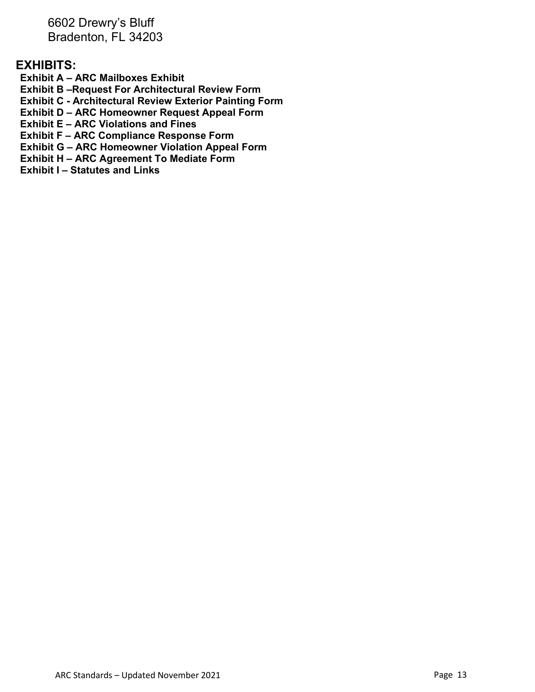6602 Drewry's Bluff Bradenton, FL 34203

## **EXHIBITS:**

**Exhibit A – ARC Mailboxes Exhibit**

**Exhibit B –Request For Architectural Review Form**

**Exhibit C - Architectural Review Exterior Painting Form**

**Exhibit D – ARC Homeowner Request Appeal Form**

**Exhibit E – ARC Violations and Fines**

**Exhibit F – ARC Compliance Response Form** 

**Exhibit G – ARC Homeowner Violation Appeal Form**

**Exhibit H – ARC Agreement To Mediate Form**

**Exhibit I – Statutes and Links**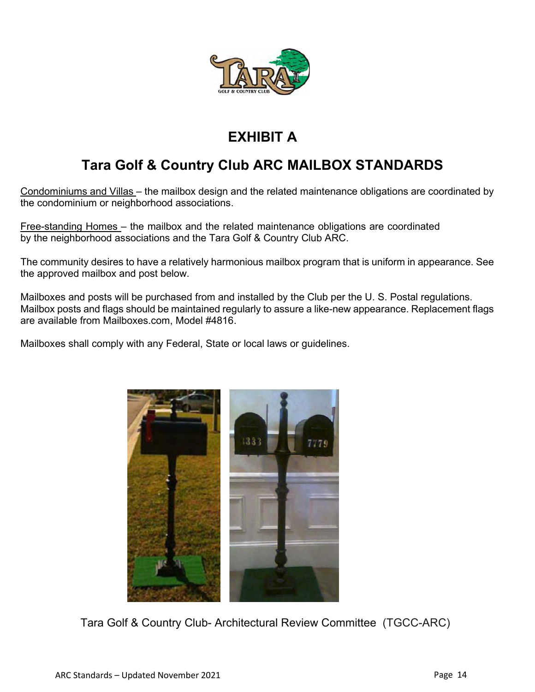

## **EXHIBIT A**

## **Tara Golf & Country Club ARC MAILBOX STANDARDS**

Condominiums and Villas – the mailbox design and the related maintenance obligations are coordinated by the condominium or neighborhood associations.

Free-standing Homes – the mailbox and the related maintenance obligations are coordinated by the neighborhood associations and the Tara Golf & Country Club ARC.

The community desires to have a relatively harmonious mailbox program that is uniform in appearance. See the approved mailbox and post below.

Mailboxes and posts will be purchased from and installed by the Club per the U. S. Postal regulations. Mailbox posts and flags should be maintained regularly to assure a like-new appearance. Replacement flags are available from Mailboxes.com, Model #4816.

Mailboxes shall comply with any Federal, State or local laws or guidelines.



Tara Golf & Country Club- Architectural Review Committee (TGCC-ARC)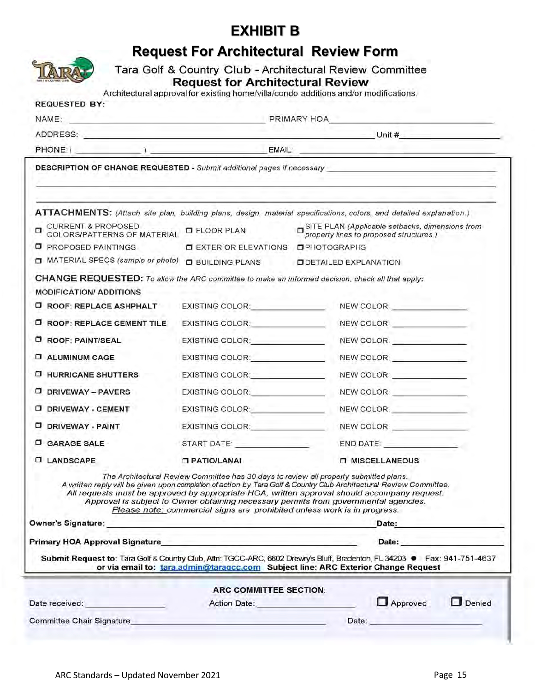## **EXHIBIT B**

| <b>REQUESTED BY:</b>                                                                                                                                                                                                                 |                                                                                                                                                                                                                                                            |                              |                                                                                                                                                                                                                                |
|--------------------------------------------------------------------------------------------------------------------------------------------------------------------------------------------------------------------------------------|------------------------------------------------------------------------------------------------------------------------------------------------------------------------------------------------------------------------------------------------------------|------------------------------|--------------------------------------------------------------------------------------------------------------------------------------------------------------------------------------------------------------------------------|
| NAME: PRIMARY HOA                                                                                                                                                                                                                    |                                                                                                                                                                                                                                                            |                              |                                                                                                                                                                                                                                |
| ADDRESS: Unit # Unit #                                                                                                                                                                                                               |                                                                                                                                                                                                                                                            |                              |                                                                                                                                                                                                                                |
|                                                                                                                                                                                                                                      | EMAIL:                                                                                                                                                                                                                                                     |                              |                                                                                                                                                                                                                                |
| DESCRIPTION OF CHANGE REQUESTED - Submit additional pages if necessary                                                                                                                                                               |                                                                                                                                                                                                                                                            |                              |                                                                                                                                                                                                                                |
| ATTACHMENTS: (Attach site plan, building plans, design, material specifications, colors, and detailed explanation.)                                                                                                                  |                                                                                                                                                                                                                                                            |                              |                                                                                                                                                                                                                                |
| CURRENT & PROPOSED<br>COLORS/PATTERNS OF MATERIAL                                                                                                                                                                                    | <b>D</b> FLOOR PLAN                                                                                                                                                                                                                                        |                              | SITE PLAN (Applicable setbacks, dimensions from<br>property lines to proposed structures.)                                                                                                                                     |
| <b>D</b> PROPOSED PAINTINGS                                                                                                                                                                                                          | <b>DEXTERIOR ELEVATIONS</b>                                                                                                                                                                                                                                | OPHOTOGRAPHS                 |                                                                                                                                                                                                                                |
| MATERIAL SPECS (sample or photo)                                                                                                                                                                                                     | <b>D</b> BUILDING PLANS                                                                                                                                                                                                                                    | <b>ODETAILED EXPLANATION</b> |                                                                                                                                                                                                                                |
| CHANGE REQUESTED: To allow the ARC committee to make an informed decision, check all that apply:<br><b>MODIFICATION/ ADDITIONS</b>                                                                                                   |                                                                                                                                                                                                                                                            |                              |                                                                                                                                                                                                                                |
| <b>D ROOF: REPLACE ASHPHALT</b>                                                                                                                                                                                                      | EXISTING COLOR: EXISTING                                                                                                                                                                                                                                   |                              | NEW COLOR: NEW COLOR:                                                                                                                                                                                                          |
| <b>I ROOF: REPLACE CEMENT TILE</b>                                                                                                                                                                                                   | EXISTING COLOR: The contract of the color of the color of the color of the color of the color of the color                                                                                                                                                 |                              | NEW COLOR: __________________                                                                                                                                                                                                  |
| <b>ROOF: PAINT/SEAL</b>                                                                                                                                                                                                              | EXISTING COLOR: Particular and Particular and Particular and                                                                                                                                                                                               |                              | NEW COLOR: _______________                                                                                                                                                                                                     |
| <b>EL ALUMINUM CAGE</b>                                                                                                                                                                                                              | EXISTING COLOR: <b>EXISTING</b>                                                                                                                                                                                                                            |                              | NEW COLOR: _______________                                                                                                                                                                                                     |
| <b>D HURRICANE SHUTTERS</b>                                                                                                                                                                                                          | EXISTING COLOR: The COLOR COLOR COLOR                                                                                                                                                                                                                      |                              | NEW COLOR: NEW COLOR                                                                                                                                                                                                           |
| <b>DRIVEWAY - PAVERS</b>                                                                                                                                                                                                             | EXISTING COLOR: And All Andrews And All Andrews And All Andrews And All Andrews And All Andrews And A                                                                                                                                                      |                              | NEW COLOR: WE ARE A STOLEN.                                                                                                                                                                                                    |
| DRIVEWAY - CEMENT                                                                                                                                                                                                                    | EXISTING COLOR: EXISTING                                                                                                                                                                                                                                   |                              |                                                                                                                                                                                                                                |
| D DRIVEWAY - PAINT                                                                                                                                                                                                                   | EXISTING COLOR: And All Andrews                                                                                                                                                                                                                            |                              | NEW COLOR: WE ARREST MADE                                                                                                                                                                                                      |
| <b>C GARAGE SALE</b>                                                                                                                                                                                                                 | START DATE: A CONTROLL CONTROLL CONTROLLER CONTROLLER CONTROLLER CONTROLLER CONTROLLER CONTROLLER CONTROLLER CONTROLLER CONTROLLER CONTROLLER CONTROLLER CONTROLLER CONTROLLER CONTROLLER CONTROLLER CONTROLLER CONTROLLER CON                             |                              | END DATE: A PARTICULAR CONTROL CONTROL                                                                                                                                                                                         |
| <b>LANDSCAPE</b>                                                                                                                                                                                                                     | <b>D PATIO/LANAI</b>                                                                                                                                                                                                                                       |                              | <b>O MISCELLANEOUS</b>                                                                                                                                                                                                         |
| A written reply will be given upon completion of action by Tara Golf & Country Club Architectural Review Committee.<br>All requests must be approved by appropriate HOA, written approval should accompany request.                  | The Architectural Review Committee has 30 days to review all properly submitted plans.<br>Approval is subject to Owner obtaining necessary permits from governmental agencies.<br>Please note: commercial signs are prohibited unless work is in progress. |                              |                                                                                                                                                                                                                                |
|                                                                                                                                                                                                                                      |                                                                                                                                                                                                                                                            |                              | Date: the contract of the contract of the contract of the contract of the contract of the contract of the contract of the contract of the contract of the contract of the contract of the contract of the contract of the cont |
| Primary HOA Approval Signature <b>All and Server Account Contract Contract Contract Contract Contract Contract Co</b>                                                                                                                |                                                                                                                                                                                                                                                            |                              | Date: the contract of the contract of the contract of the contract of the contract of the contract of the contract of the contract of the contract of the contract of the contract of the contract of the contract of the cont |
| Submit Request to: Tara Golf & Country Club, Attn: TGCC-ARC, 6602 Drewry's Bluff, Bradenton, FL 34203 . Fax: 941-751-4637                                                                                                            | or via email to: tara.admin@taragcc.com Subject line: ARC Exterior Change Request                                                                                                                                                                          |                              |                                                                                                                                                                                                                                |
|                                                                                                                                                                                                                                      | ARC COMMITTEE SECTION:                                                                                                                                                                                                                                     |                              |                                                                                                                                                                                                                                |
| Date received: <b>Contract Contract Contract Contract Contract Contract Contract Contract Contract Contract Contract Contract Contract Contract Contract Contract Contract Contract Contract Contract Contract Contract Contract</b> | Action Date: <b>Action</b>                                                                                                                                                                                                                                 |                              | Approved<br>Denied                                                                                                                                                                                                             |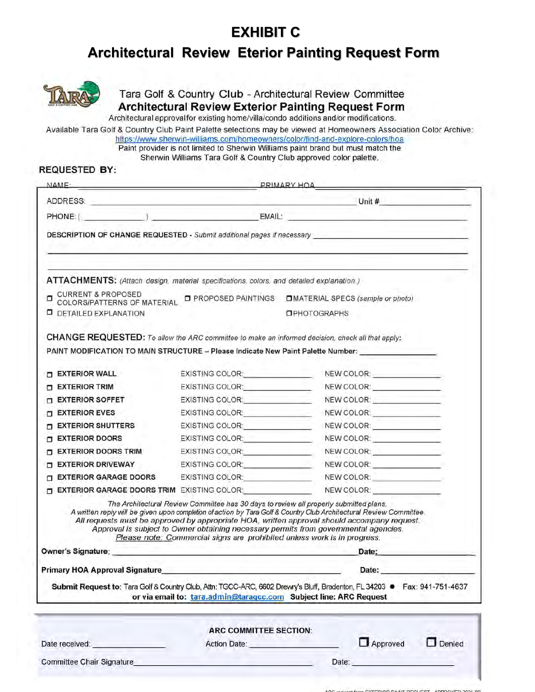## **EXHIBIT C**

## **Architectural Review Eterior Painting Request Form**



Tara Golf & Country Club - Architectural Review Committee **Architectural Review Exterior Painting Request Form** 

Architectural approval for existing home/villa/condo additions and/or modifications.

Available Tara Golf & Country Club Paint Palette selections may be viewed at Homeowners Association Color Archive: https://www.sherwin-williams.com/homeowners/color/find-and-explore-colors/hoa

Paint provider is not limited to Sherwin Williams paint brand but must match the Sherwin Williams Tara Golf & Country Club approved color palette.

#### **REQUESTED BY:**

| NAME-                                                                                                                                                                                                                          |                                                                          | PRIMARY HOA                                                                                                                                                                                                                                                                                                                                                                                           |
|--------------------------------------------------------------------------------------------------------------------------------------------------------------------------------------------------------------------------------|--------------------------------------------------------------------------|-------------------------------------------------------------------------------------------------------------------------------------------------------------------------------------------------------------------------------------------------------------------------------------------------------------------------------------------------------------------------------------------------------|
|                                                                                                                                                                                                                                |                                                                          | Unit $#$                                                                                                                                                                                                                                                                                                                                                                                              |
|                                                                                                                                                                                                                                |                                                                          |                                                                                                                                                                                                                                                                                                                                                                                                       |
|                                                                                                                                                                                                                                |                                                                          | DESCRIPTION OF CHANGE REQUESTED - Submit additional pages if necessary _____________________________                                                                                                                                                                                                                                                                                                  |
| ATTACHMENTS: (Attach design, material specifications, colors, and detailed explanation.)                                                                                                                                       |                                                                          |                                                                                                                                                                                                                                                                                                                                                                                                       |
| <b>CURRENT &amp; PROPOSED</b><br>COLORS/PATTERNS OF MATERIAL LE PROPOSED PAINTINGS<br>п                                                                                                                                        |                                                                          | <b>OMATERIAL SPECS (sample or photo)</b>                                                                                                                                                                                                                                                                                                                                                              |
| <b>D</b> DETAILED EXPLANATION                                                                                                                                                                                                  |                                                                          | <b>OPHOTOGRAPHS</b>                                                                                                                                                                                                                                                                                                                                                                                   |
|                                                                                                                                                                                                                                |                                                                          | CHANGE REQUESTED: To allow the ARC committee to make an informed decision, check all that apply:<br>PAINT MODIFICATION TO MAIN STRUCTURE - Please Indicate New Paint Palette Number:                                                                                                                                                                                                                  |
| <b>EXTERIOR WALL</b>                                                                                                                                                                                                           | EXISTING COLOR:<br><u> EXISTING COLOR:</u>                               | NEW COLOR: ______________                                                                                                                                                                                                                                                                                                                                                                             |
| <b>EXTERIOR TRIM</b>                                                                                                                                                                                                           | EXISTING COLOR: EXISTING                                                 | NEW COLOR: NEW COLORS                                                                                                                                                                                                                                                                                                                                                                                 |
| <b>EXTERIOR SOFFET</b>                                                                                                                                                                                                         | EXISTING COLOR: Particular COLORISTING                                   | NEW COLOR: NEW COLOR:                                                                                                                                                                                                                                                                                                                                                                                 |
| <b>EXTERIOR EVES</b>                                                                                                                                                                                                           | EXISTING COLOR: COLORING                                                 |                                                                                                                                                                                                                                                                                                                                                                                                       |
| <b>EXTERIOR SHUTTERS</b>                                                                                                                                                                                                       | EXISTING COLOR: <u>__________________</u>                                | NEW COLOR: _______________                                                                                                                                                                                                                                                                                                                                                                            |
| <b>EXTERIOR DOORS</b>                                                                                                                                                                                                          | EXISTING COLOR: EXISTING                                                 | NEW COLOR: _______________                                                                                                                                                                                                                                                                                                                                                                            |
| <b>EXTERIOR DOORS TRIM</b><br>п                                                                                                                                                                                                | EXISTING COLOR: COLOR                                                    | NEW COLOR: _______________                                                                                                                                                                                                                                                                                                                                                                            |
| <b>EXTERIOR DRIVEWAY</b><br>п                                                                                                                                                                                                  | EXISTING COLOR: EXISTING                                                 | NEW COLOR: _______________                                                                                                                                                                                                                                                                                                                                                                            |
| <b>EXTERIOR GARAGE DOORS</b><br>п                                                                                                                                                                                              | EXISTING COLOR: COLORING                                                 | NEW COLOR:                                                                                                                                                                                                                                                                                                                                                                                            |
| <b>EXTERIOR GARAGE DOORS TRIM</b> EXISTING COLOR:<br>п                                                                                                                                                                         |                                                                          | NEW COLOR: _________________                                                                                                                                                                                                                                                                                                                                                                          |
|                                                                                                                                                                                                                                | Please note: Commercial signs are prohibited unless work is in progress. | The Architectural Review Committee has 30 days to review all properly submitted plans.<br>A written reply will be given upon completion of action by Tara Golf & Country Club Architectural Review Committee.<br>All requests must be approved by appropriate HOA, written approval should accompany request.<br>Approval is subject to Owner obtaining necessary permits from governmental agencies. |
| Owner's Signature: experience of the state of the state of the state of the state of the state of the state of the state of the state of the state of the state of the state of the state of the state of the state of the sta |                                                                          | Date:                                                                                                                                                                                                                                                                                                                                                                                                 |
| <b>Primary HOA Approval Signature</b>                                                                                                                                                                                          |                                                                          | Date:                                                                                                                                                                                                                                                                                                                                                                                                 |
|                                                                                                                                                                                                                                |                                                                          | Submit Request to: Tara Golf & Country Club, Attn: TGCC-ARC, 6602 Drewry's Bluff, Bradenton, FL 34203 · Fax: 941-751-4637<br>or via email to: tara.admin@taragcc.com Subject line: ARC Request                                                                                                                                                                                                        |
|                                                                                                                                                                                                                                | ARC COMMITTEE SECTION:                                                   |                                                                                                                                                                                                                                                                                                                                                                                                       |
| Date received: National Contract of the Contract of the Contract of the Contract of the Contract of the Contract of the Contract of the Contract of the Contract of the Contract of the Contract of the Contract of the Contra | Action Date: Action Date:                                                | Approved<br>$\Box$ Denied                                                                                                                                                                                                                                                                                                                                                                             |
| Committee Chair Signature                                                                                                                                                                                                      |                                                                          | Date:                                                                                                                                                                                                                                                                                                                                                                                                 |
|                                                                                                                                                                                                                                |                                                                          |                                                                                                                                                                                                                                                                                                                                                                                                       |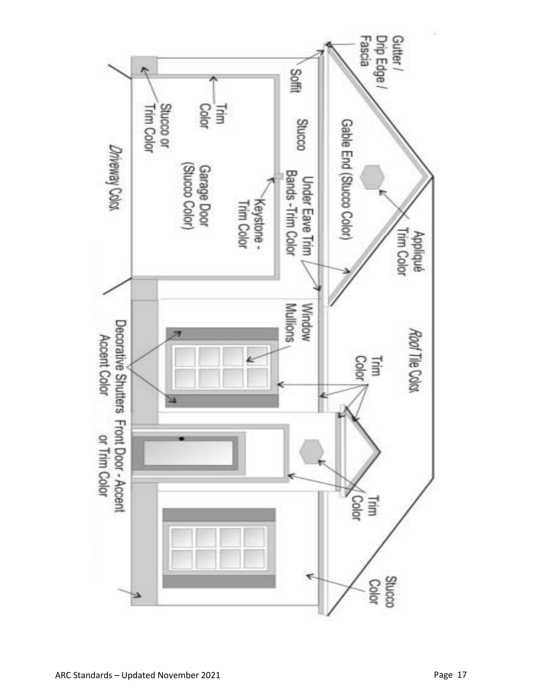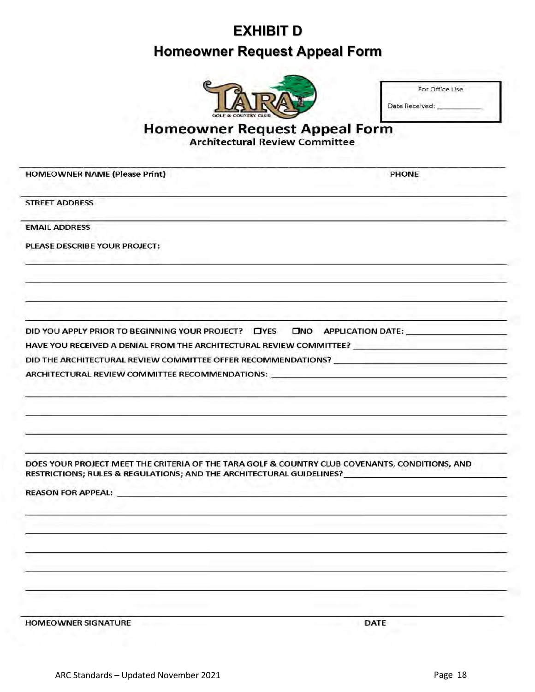## **EXHIBIT D**

## **Homeowner Request Appeal Form**



|                | For Office Use |  |
|----------------|----------------|--|
| Date Received: |                |  |

PHONE

# Homeowner Request Appeal Form<br>Architectural Review Committee

**HOMEOWNER NAME (Please Print)** 

**STREET ADDRESS** 

**EMAIL ADDRESS** 

PLEASE DESCRIBE YOUR PROJECT:

ONO APPLICATION DATE: DID YOU APPLY PRIOR TO BEGINNING YOUR PROJECT? TYES

HAVE YOU RECEIVED A DENIAL FROM THE ARCHITECTURAL REVIEW COMMITTEE?

DID THE ARCHITECTURAL REVIEW COMMITTEE OFFER RECOMMENDATIONS?

ARCHITECTURAL REVIEW COMMITTEE RECOMMENDATIONS:

DOES YOUR PROJECT MEET THE CRITERIA OF THE TARA GOLF & COUNTRY CLUB COVENANTS, CONDITIONS, AND RESTRICTIONS; RULES & REGULATIONS; AND THE ARCHITECTURAL GUIDELINES?

**REASON FOR APPEAL:** 

**HOMEOWNER SIGNATURE** 

DATE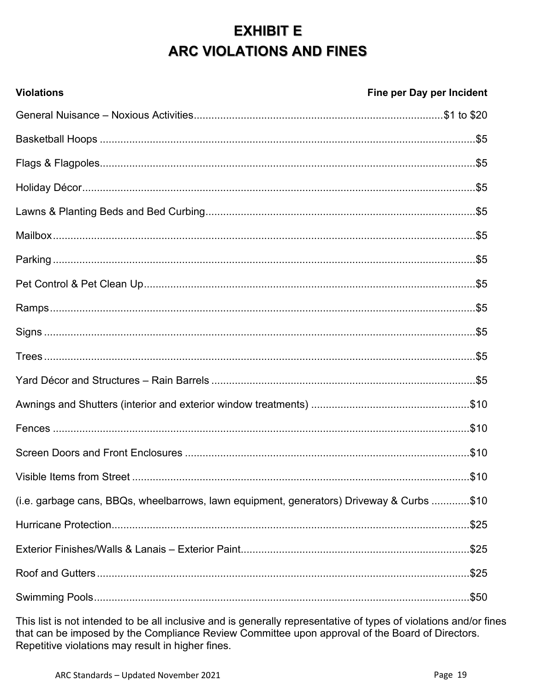# **EXHIBIT E** ARC VIOLATIONS AND FINES

| <b>Violations</b>                                                                         | Fine per Day per Incident |
|-------------------------------------------------------------------------------------------|---------------------------|
|                                                                                           |                           |
|                                                                                           |                           |
|                                                                                           |                           |
|                                                                                           |                           |
|                                                                                           |                           |
|                                                                                           |                           |
|                                                                                           |                           |
|                                                                                           |                           |
|                                                                                           |                           |
|                                                                                           |                           |
|                                                                                           |                           |
|                                                                                           |                           |
|                                                                                           |                           |
|                                                                                           |                           |
|                                                                                           |                           |
|                                                                                           |                           |
| (i.e. garbage cans, BBQs, wheelbarrows, lawn equipment, generators) Driveway & Curbs \$10 |                           |
|                                                                                           |                           |
|                                                                                           |                           |
|                                                                                           |                           |
|                                                                                           |                           |

This list is not intended to be all inclusive and is generally representative of types of violations and/or fines<br>that can be imposed by the Compliance Review Committee upon approval of the Board of Directors. Repetitive violations may result in higher fines.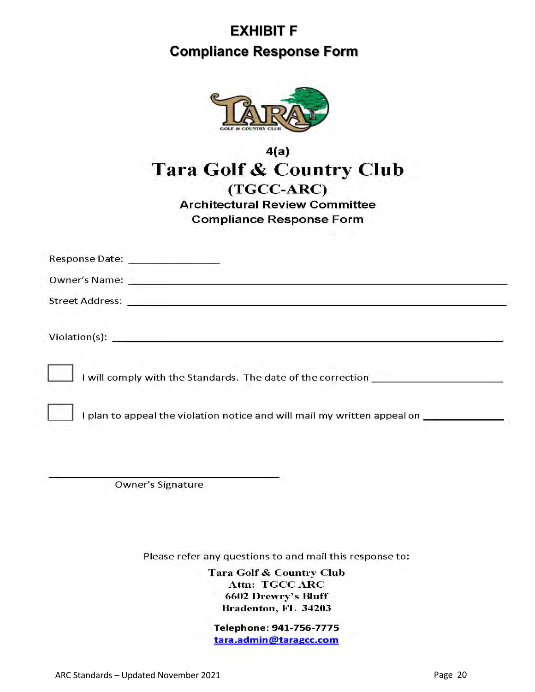# **EXHIBIT F Compliance Response Form**



## $4(a)$ Tara Golf & Country Club (TGCC-ARC) **Architectural Review Committee Compliance Response Form**

| Response Date: New York 1988                                                                                                                                                                                                   |
|--------------------------------------------------------------------------------------------------------------------------------------------------------------------------------------------------------------------------------|
| Owner's Name: The Contract of the Contract of the Contract of the Contract of the Contract of the Contract of the Contract of the Contract of the Contract of the Contract of the Contract of the Contract of the Contract of  |
|                                                                                                                                                                                                                                |
| Violation(s): Note and the second state of the second state of the second state of the second state of the second state of the second state of the second state of the second state of the second state of the second state of |
| I will comply with the Standards. The date of the correction                                                                                                                                                                   |
| I plan to appeal the violation notice and will mail my written appeal on _____________                                                                                                                                         |
|                                                                                                                                                                                                                                |

Owner's Signature

Please refer any questions to and mail this response to:

Tara Golf & Country Club Attn: TGCC ARC 6602 Drewry's Bluff Bradenton, FL 34203

Telephone: 941-756-7775 tara.admin@taragcc.com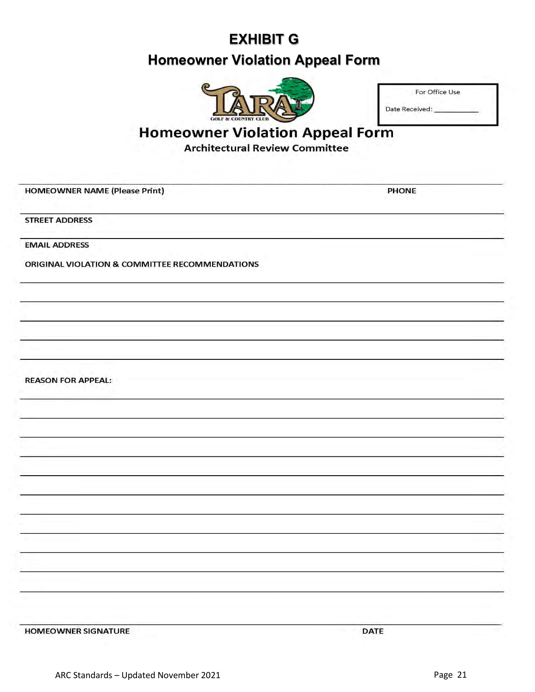# **EXHIBIT G Homeowner Violation Appeal Form**



| For Office Use |  |
|----------------|--|
| Date Received: |  |

## **Homeowner Violation Appeal Form**

**Architectural Review Committee** 

HOMEOWNER NAME (Please Print)

PHONE

**STREET ADDRESS** 

**EMAIL ADDRESS** 

ORIGINAL VIOLATION & COMMITTEE RECOMMENDATIONS

**REASON FOR APPEAL:** 

**HOMEOWNER SIGNATURE**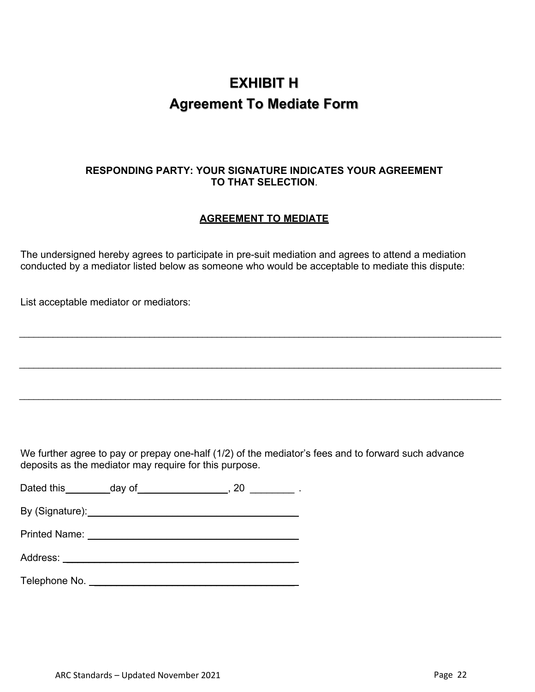## **EXHIBIT H Agreement To Mediate Form**

## **RESPONDING PARTY: YOUR SIGNATURE INDICATES YOUR AGREEMENT TO THAT SELECTION**.

## **AGREEMENT TO MEDIATE**

\_\_\_\_\_\_\_\_\_\_\_\_\_\_\_\_\_\_\_\_\_\_\_\_\_\_\_\_\_\_\_\_\_\_\_\_\_\_\_\_\_\_\_\_\_\_\_\_\_\_\_\_\_\_\_\_\_\_\_\_\_\_\_\_\_\_\_\_\_\_\_\_\_\_\_\_\_\_\_\_\_\_\_\_\_\_\_\_\_\_\_\_\_\_\_\_\_\_\_\_

\_\_\_\_\_\_\_\_\_\_\_\_\_\_\_\_\_\_\_\_\_\_\_\_\_\_\_\_\_\_\_\_\_\_\_\_\_\_\_\_\_\_\_\_\_\_\_\_\_\_\_\_\_\_\_\_\_\_\_\_\_\_\_\_\_\_\_\_\_\_\_\_\_\_\_\_\_\_\_\_\_\_\_\_\_\_\_\_\_\_\_\_\_\_\_\_\_\_\_\_

\_\_\_\_\_\_\_\_\_\_\_\_\_\_\_\_\_\_\_\_\_\_\_\_\_\_\_\_\_\_\_\_\_\_\_\_\_\_\_\_\_\_\_\_\_\_\_\_\_\_\_\_\_\_\_\_\_\_\_\_\_\_\_\_\_\_\_\_\_\_\_\_\_\_\_\_\_\_\_\_\_\_\_\_\_\_\_\_\_\_\_\_\_\_\_\_\_\_\_\_

The undersigned hereby agrees to participate in pre-suit mediation and agrees to attend a mediation conducted by a mediator listed below as someone who would be acceptable to mediate this dispute:

List acceptable mediator or mediators:

We further agree to pay or prepay one-half (1/2) of the mediator's fees and to forward such advance deposits as the mediator may require for this purpose.

|  | Dated this | dav of |  |  |
|--|------------|--------|--|--|
|--|------------|--------|--|--|

By (Signature): \_\_\_\_\_\_\_\_\_\_\_\_\_\_\_\_\_\_\_\_\_\_\_\_\_\_\_\_\_\_\_\_\_\_\_\_\_

Printed Name: **Example 20** Name: **All 2008** 

Address: \_\_\_\_\_\_\_\_\_\_\_\_\_\_\_\_\_\_\_\_\_\_\_\_\_\_\_\_\_\_\_\_\_\_\_\_\_\_\_\_\_

Telephone No. \_\_\_\_\_\_\_\_\_\_\_\_\_\_\_\_\_\_\_\_\_\_\_\_\_\_\_\_\_\_\_\_\_\_\_\_